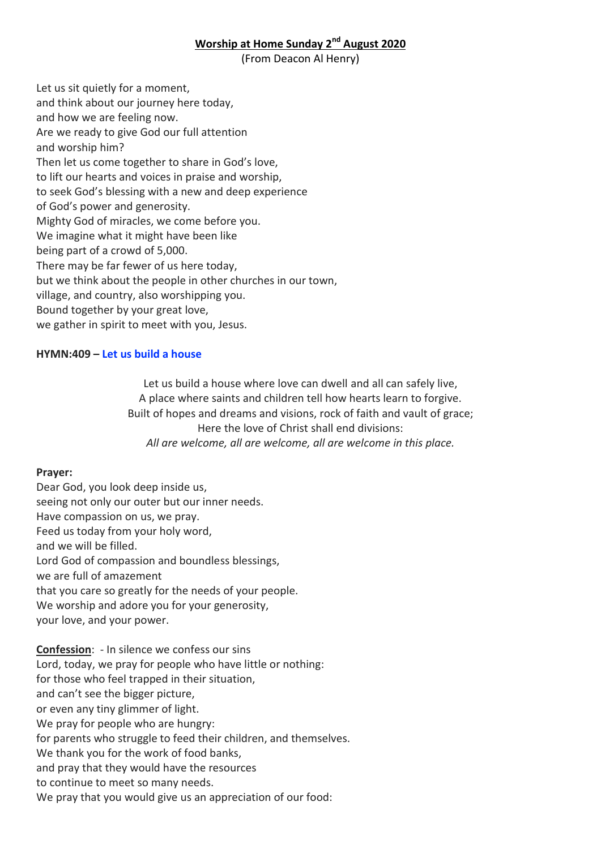### **Worship at Home Sunday 2nd August 2020**

(From Deacon Al Henry)

Let us sit quietly for a moment, and think about our journey here today, and how we are feeling now. Are we ready to give God our full attention and worship him? Then let us come together to share in God's love, to lift our hearts and voices in praise and worship, to seek God's blessing with a new and deep experience of God's power and generosity. Mighty God of miracles, we come before you. We imagine what it might have been like being part of a crowd of 5,000. There may be far fewer of us here today, but we think about the people in other churches in our town, village, and country, also worshipping you. Bound together by your great love, we gather in spirit to meet with you, Jesus.

#### **HYMN:409 – [Let us build a house](https://www.youtube.com/watch?v=W3Pb77ylz_Q)**

Let us build a house where love can dwell and all can safely live, A place where saints and children tell how hearts learn to forgive. Built of hopes and dreams and visions, rock of faith and vault of grace; Here the love of Christ shall end divisions: *All are welcome, all are welcome, all are welcome in this place.*

#### **Prayer:**

Dear God, you look deep inside us, seeing not only our outer but our inner needs. Have compassion on us, we pray. Feed us today from your holy word, and we will be filled. Lord God of compassion and boundless blessings, we are full of amazement that you care so greatly for the needs of your people. We worship and adore you for your generosity, your love, and your power.

**Confession**: - In silence we confess our sins Lord, today, we pray for people who have little or nothing: for those who feel trapped in their situation, and can't see the bigger picture, or even any tiny glimmer of light. We pray for people who are hungry: for parents who struggle to feed their children, and themselves. We thank you for the work of food banks, and pray that they would have the resources to continue to meet so many needs. We pray that you would give us an appreciation of our food: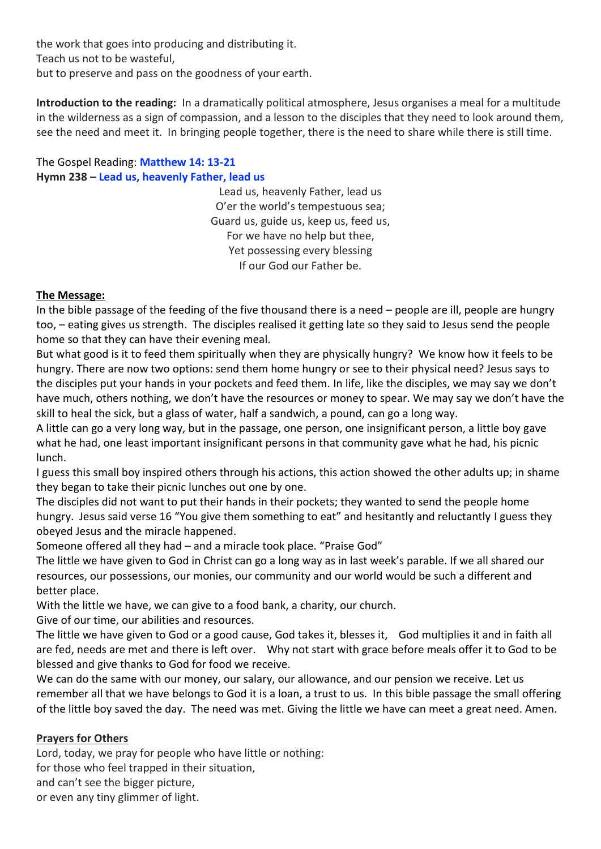the work that goes into producing and distributing it. Teach us not to be wasteful, but to preserve and pass on the goodness of your earth.

**Introduction to the reading:** In a dramatically political atmosphere, Jesus organises a meal for a multitude in the wilderness as a sign of compassion, and a lesson to the disciples that they need to look around them, see the need and meet it. In bringing people together, there is the need to share while there is still time.

## The Gospel Reading: **[Matthew 14: 13-21](https://www.biblegateway.com/passage/?search=Matthew+14%3A+13-21&version=NIV) Hymn 238 – [Lead us, heavenly Father, lead us](https://www.youtube.com/watch?v=6zgFXN1B8no)**

Lead us, heavenly Father, lead us O'er the world's tempestuous sea; Guard us, guide us, keep us, feed us, For we have no help but thee, Yet possessing every blessing If our God our Father be.

## **The Message:**

In the bible passage of the feeding of the five thousand there is a need – people are ill, people are hungry too, – eating gives us strength. The disciples realised it getting late so they said to Jesus send the people home so that they can have their evening meal.

But what good is it to feed them spiritually when they are physically hungry? We know how it feels to be hungry. There are now two options: send them home hungry or see to their physical need? Jesus says to the disciples put your hands in your pockets and feed them. In life, like the disciples, we may say we don't have much, others nothing, we don't have the resources or money to spear. We may say we don't have the skill to heal the sick, but a glass of water, half a sandwich, a pound, can go a long way.

A little can go a very long way, but in the passage, one person, one insignificant person, a little boy gave what he had, one least important insignificant persons in that community gave what he had, his picnic lunch.

I guess this small boy inspired others through his actions, this action showed the other adults up; in shame they began to take their picnic lunches out one by one.

The disciples did not want to put their hands in their pockets; they wanted to send the people home hungry. Jesus said verse 16 "You give them something to eat" and hesitantly and reluctantly I guess they obeyed Jesus and the miracle happened.

Someone offered all they had – and a miracle took place. "Praise God"

The little we have given to God in Christ can go a long way as in last week's parable. If we all shared our resources, our possessions, our monies, our community and our world would be such a different and better place.

With the little we have, we can give to a food bank, a charity, our church.

Give of our time, our abilities and resources.

The little we have given to God or a good cause, God takes it, blesses it, God multiplies it and in faith all are fed, needs are met and there is left over. Why not start with grace before meals offer it to God to be blessed and give thanks to God for food we receive.

We can do the same with our money, our salary, our allowance, and our pension we receive. Let us remember all that we have belongs to God it is a loan, a trust to us. In this bible passage the small offering of the little boy saved the day. The need was met. Giving the little we have can meet a great need. Amen.

# **Prayers for Others**

Lord, today, we pray for people who have little or nothing:

for those who feel trapped in their situation,

and can't see the bigger picture,

or even any tiny glimmer of light.